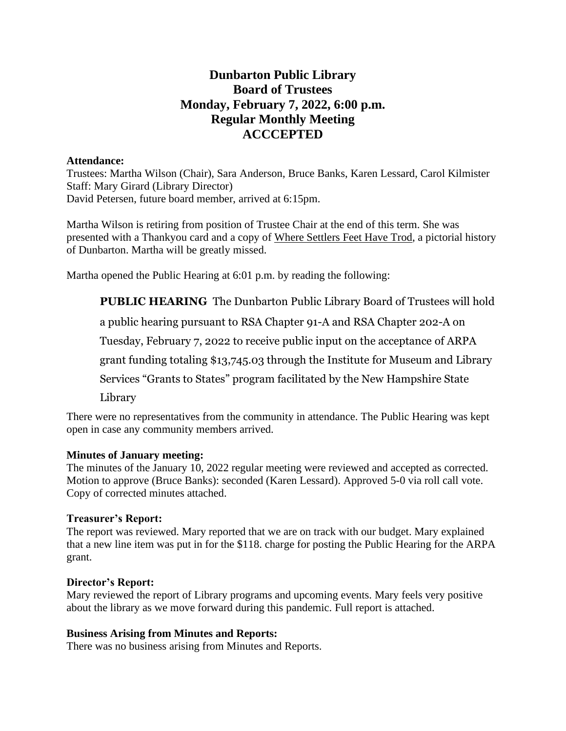# **Dunbarton Public Library Board of Trustees Monday, February 7, 2022, 6:00 p.m. Regular Monthly Meeting ACCCEPTED**

### **Attendance:**

Trustees: Martha Wilson (Chair), Sara Anderson, Bruce Banks, Karen Lessard, Carol Kilmister Staff: Mary Girard (Library Director) David Petersen, future board member, arrived at 6:15pm.

Martha Wilson is retiring from position of Trustee Chair at the end of this term. She was presented with a Thankyou card and a copy of Where Settlers Feet Have Trod, a pictorial history of Dunbarton. Martha will be greatly missed.

Martha opened the Public Hearing at 6:01 p.m. by reading the following:

**PUBLIC HEARING** The Dunbarton Public Library Board of Trustees will hold

a public hearing pursuant to RSA Chapter 91-A and RSA Chapter 202-A on

Tuesday, February 7, 2022 to receive public input on the acceptance of ARPA

grant funding totaling \$13,745.03 through the Institute for Museum and Library

Services "Grants to States" program facilitated by the New Hampshire State

Library

There were no representatives from the community in attendance. The Public Hearing was kept open in case any community members arrived.

## **Minutes of January meeting:**

The minutes of the January 10, 2022 regular meeting were reviewed and accepted as corrected. Motion to approve (Bruce Banks): seconded (Karen Lessard). Approved 5-0 via roll call vote. Copy of corrected minutes attached.

## **Treasurer's Report:**

The report was reviewed. Mary reported that we are on track with our budget. Mary explained that a new line item was put in for the \$118. charge for posting the Public Hearing for the ARPA grant.

## **Director's Report:**

Mary reviewed the report of Library programs and upcoming events. Mary feels very positive about the library as we move forward during this pandemic. Full report is attached.

## **Business Arising from Minutes and Reports:**

There was no business arising from Minutes and Reports.